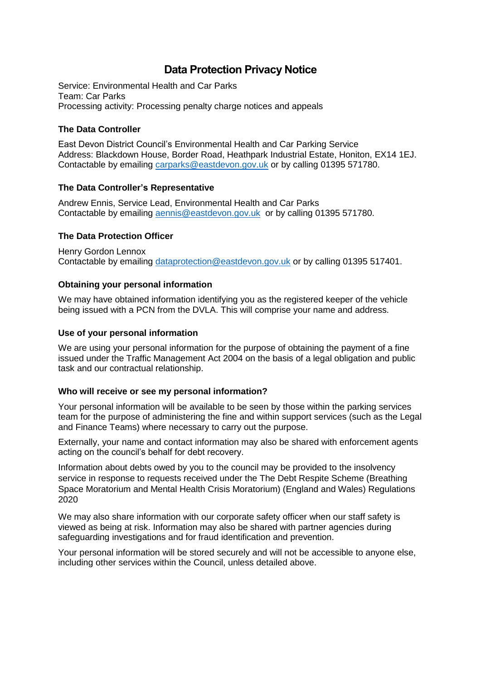# **Data Protection Privacy Notice**

Service: Environmental Health and Car Parks Team: Car Parks Processing activity: Processing penalty charge notices and appeals

## **The Data Controller**

East Devon District Council's Environmental Health and Car Parking Service Address: Blackdown House, Border Road, Heathpark Industrial Estate, Honiton, EX14 1EJ. Contactable by emailing [carparks@eastdevon.gov.uk](mailto:carparks@eastdevon.gov.uk) or by calling 01395 571780.

## **The Data Controller's Representative**

Andrew Ennis, Service Lead, Environmental Health and Car Parks Contactable by emailing [aennis@eastdevon.gov.uk](mailto:aennis@eastdevon.gov.uk) or by calling 01395 571780.

## **The Data Protection Officer**

Henry Gordon Lennox Contactable by emailing [dataprotection@eastdevon.gov.uk](mailto:dataprotection@eastdevon.gov.uk) or by calling 01395 517401.

## **Obtaining your personal information**

We may have obtained information identifying you as the registered keeper of the vehicle being issued with a PCN from the DVLA. This will comprise your name and address.

#### **Use of your personal information**

We are using your personal information for the purpose of obtaining the payment of a fine issued under the Traffic Management Act 2004 on the basis of a legal obligation and public task and our contractual relationship.

#### **Who will receive or see my personal information?**

Your personal information will be available to be seen by those within the parking services team for the purpose of administering the fine and within support services (such as the Legal and Finance Teams) where necessary to carry out the purpose.

Externally, your name and contact information may also be shared with enforcement agents acting on the council's behalf for debt recovery.

Information about debts owed by you to the council may be provided to the insolvency service in response to requests received under the The Debt Respite Scheme (Breathing Space Moratorium and Mental Health Crisis Moratorium) (England and Wales) Regulations 2020

We may also share information with our corporate safety officer when our staff safety is viewed as being at risk. Information may also be shared with partner agencies during safeguarding investigations and for fraud identification and prevention.

Your personal information will be stored securely and will not be accessible to anyone else, including other services within the Council, unless detailed above.